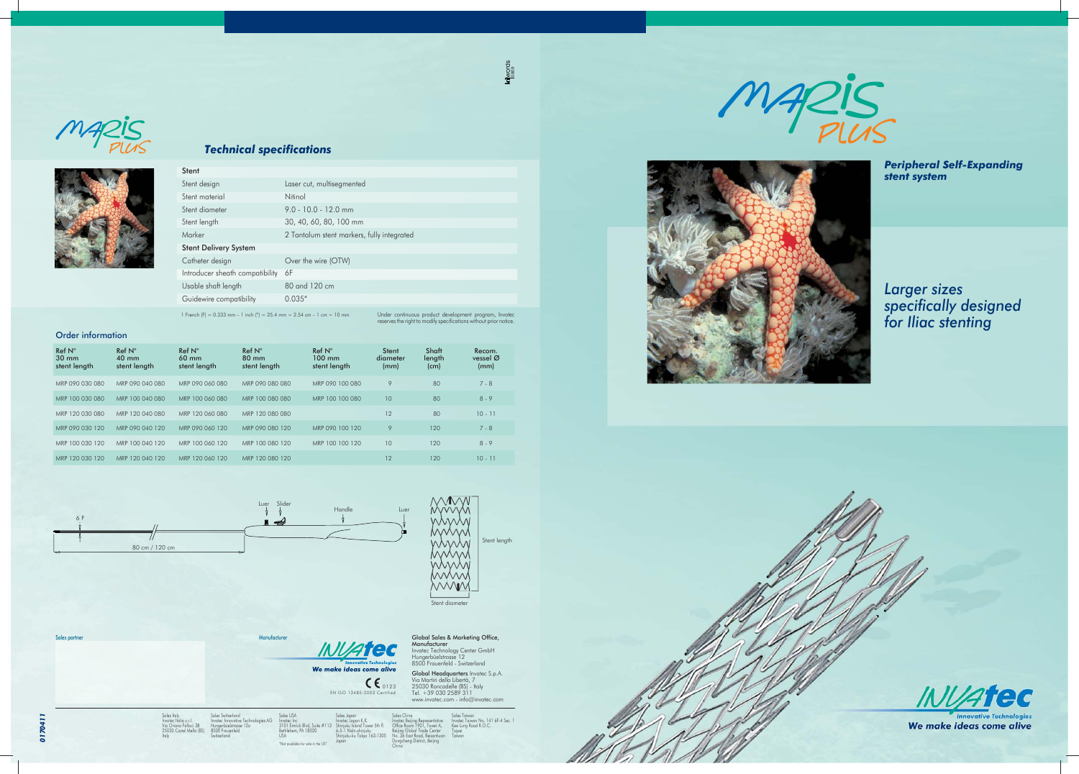We make ideas come alive EN ISO 13485:2003 Certified 0123

Sales Italy Invatec Italia s.r.l. Via Oriana Fallaci 38 25030 Castel Mella (BS) Italy

Sales partner Manufacturer Manufacturer Manufacturer Manufacturer Manufacturer

Sales USA Invatec Inc 3101 Emrick Blvd, Suite #113 Bethlehem, PA 18020 USA "Not available for sale in the US" Sales Japan<br>Invatec Japan K.K.<br>Shinjuku Island Tower 5th fl.<br>6-5-1 Nishi-shinjuku<br>Shinjuku-ku Tokyo 163-1305<br>Japan Sales China<br>Invatec Beijing Representative<br>Office Room 1901, Tower A,<br>Beijing Global Trade Center<br>No. 36 East Road, Beisanhuan<br>Dongcheng District, Beijing<br>China



Sales Switzerland

es AG

Hungerbüelstrasse 12a 8500 Frauenfeld Switzerland

**Manufacturer**<br>Invatec Technology Center GmbH<br>Hungerbüelstrasse 12<br>8500 Frauenfeld - Switzerland Global Headquarters Invatec S.p.A. Via Martiri della Libertà, 7 25030 Roncadelle (BS) - Italy Tel. +39 030 2589 311 www.invatec.com - info@invatec.com

Global Sales & Marketing Office,

Sales Taiwan<br>Invatec Taiwan No. 141 6F-4 Sec. 1<br>Kee Lung Road R.O.C.<br>Taiwan<br>Taiwan





#### *Technical specifi cations*

*Peripheral Self-Expanding stent system* 



*Larger sizes specifi cally designed for Iliac stenting*



We make ideas come alive

#### Order information

| Stent design<br>Laser cut, multisegmented<br>Stent material<br><b>Nitinol</b> |
|-------------------------------------------------------------------------------|
|                                                                               |
|                                                                               |
| Stent diameter<br>$9.0 - 10.0 - 12.0$ mm                                      |
| 30, 40, 60, 80, 100 mm<br>Stent length                                        |
| Marker<br>2 Tantalum stent markers, fully integrated                          |
| <b>Stent Delivery System</b>                                                  |
| Catheter design<br>Over the wire (OTW)                                        |
| Introducer sheath compatibility<br>6F                                         |
| Usable shaft length<br>80 and 120 cm                                          |
| 0.035''<br>Guidewire compatibility                                            |

1 French (F) = 0.333 mm – 1 inch (") = 25.4 mm = 2.54 cm – 1 cm = 10 mm

Under continuous product development program, Invatec<br>reserves the right to modify specifications without prior notice.

klwords<br>0809

| Ref N <sup>°</sup><br>$30 \text{ mm}$<br>stent length | Ref N <sup>°</sup><br>$40 \text{ mm}$<br>stent length | Ref N <sup>°</sup><br>60 mm<br>stent length | Ref N <sup>o</sup><br>$80 \text{ mm}$<br>stent length | Ref N <sup>o</sup><br>$100 \text{ mm}$<br>stent length | Stent<br>diameter<br>(mm) | Shaft<br>length<br>(cm) | Recom.<br>vessel $\varnothing$<br>(mm) |
|-------------------------------------------------------|-------------------------------------------------------|---------------------------------------------|-------------------------------------------------------|--------------------------------------------------------|---------------------------|-------------------------|----------------------------------------|
| MRP 090 030 080                                       | MRP 090 040 080                                       | MRP 090 060 080                             | MRP 090 080 080                                       | MRP 090 100 080                                        | 9                         | 80                      | $7 - 8$                                |
| MRP 100 030 080                                       | MRP 100 040 080                                       | MRP 100 060 080                             | MRP 100 080 080                                       | MRP 100 100 080                                        | 10                        | 80                      | $8 - 9$                                |
| MRP 120 030 080                                       | MRP 120 040 080                                       | MRP 120 060 080                             | MRP 120 080 080                                       |                                                        | 12                        | 80                      | $10 - 11$                              |
| MRP 090 030 120                                       | MRP 090 040 120                                       | MRP 090 060 120                             | MRP 090 080 120                                       | MRP 090 100 120                                        | 9                         | 120                     | $7 - 8$                                |
| MRP 100 030 120                                       | MRP 100 040 120                                       | MRP 100 060 120                             | MRP 100 080 120                                       | MRP 100 100 120                                        | 10                        | 120                     | $8 - 9$                                |
| MRP 120 030 120                                       | MRP 120 040 120                                       | MRP 120 060 120                             | MRP 120 080 120                                       |                                                        | 12                        | 120                     | $10 - 11$                              |



WWW MVVVV Stent length mmm Stent diamete